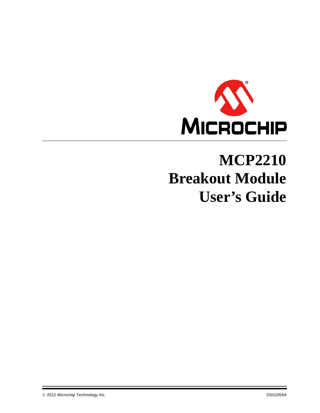

# **MCP2210 Breakout Module User's Guide**

© 2012 Microchip Technology Inc. DS52056A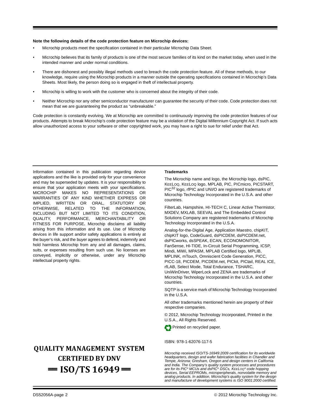#### **Note the following details of the code protection feature on Microchip devices:**

- Microchip products meet the specification contained in their particular Microchip Data Sheet.
- Microchip believes that its family of products is one of the most secure families of its kind on the market today, when used in the intended manner and under normal conditions.
- There are dishonest and possibly illegal methods used to breach the code protection feature. All of these methods, to our knowledge, require using the Microchip products in a manner outside the operating specifications contained in Microchip's Data Sheets. Most likely, the person doing so is engaged in theft of intellectual property.
- Microchip is willing to work with the customer who is concerned about the integrity of their code.
- Neither Microchip nor any other semiconductor manufacturer can guarantee the security of their code. Code protection does not mean that we are guaranteeing the product as "unbreakable."

Code protection is constantly evolving. We at Microchip are committed to continuously improving the code protection features of our products. Attempts to break Microchip's code protection feature may be a violation of the Digital Millennium Copyright Act. If such acts allow unauthorized access to your software or other copyrighted work, you may have a right to sue for relief under that Act.

Information contained in this publication regarding device applications and the like is provided only for your convenience and may be superseded by updates. It is your responsibility to ensure that your application meets with your specifications. MICROCHIP MAKES NO REPRESENTATIONS OR WARRANTIES OF ANY KIND WHETHER EXPRESS OR IMPLIED, WRITTEN OR ORAL, STATUTORY OR OTHERWISE, RELATED TO THE INFORMATION, INCLUDING BUT NOT LIMITED TO ITS CONDITION, QUALITY, PERFORMANCE, MERCHANTABILITY OR FITNESS FOR PURPOSE**.** Microchip disclaims all liability arising from this information and its use. Use of Microchip devices in life support and/or safety applications is entirely at the buyer's risk, and the buyer agrees to defend, indemnify and hold harmless Microchip from any and all damages, claims, suits, or expenses resulting from such use. No licenses are conveyed, implicitly or otherwise, under any Microchip intellectual property rights.

### **QUALITY MANAGEMENT SYSTEM CERTIFIED BY DNV**   $=$  **ISO/TS 16949**  $=$

#### **Trademarks**

The Microchip name and logo, the Microchip logo, dsPIC, KEELOQ, KEELOQ logo, MPLAB, PIC, PICmicro, PICSTART, PIC<sup>32</sup> logo, rfPIC and UNI/O are registered trademarks of Microchip Technology Incorporated in the U.S.A. and other countries.

FilterLab, Hampshire, HI-TECH C, Linear Active Thermistor, MXDEV, MXLAB, SEEVAL and The Embedded Control Solutions Company are registered trademarks of Microchip Technology Incorporated in the U.S.A.

Analog-for-the-Digital Age, Application Maestro, chipKIT, chipKIT logo, CodeGuard, dsPICDEM, dsPICDEM.net, dsPICworks, dsSPEAK, ECAN, ECONOMONITOR, FanSense, HI-TIDE, In-Circuit Serial Programming, ICSP, Mindi, MiWi, MPASM, MPLAB Certified logo, MPLIB, MPLINK, mTouch, Omniscient Code Generation, PICC, PICC-18, PICDEM, PICDEM.net, PICkit, PICtail, REAL ICE, rfLAB, Select Mode, Total Endurance, TSHARC, UniWinDriver, WiperLock and ZENA are trademarks of Microchip Technology Incorporated in the U.S.A. and other countries.

SQTP is a service mark of Microchip Technology Incorporated in the U.S.A.

All other trademarks mentioned herein are property of their respective companies.

© 2012, Microchip Technology Incorporated, Printed in the U.S.A., All Rights Reserved.

Printed on recycled paper.

ISBN: 978-1-62076-117-5

*Microchip received ISO/TS-16949:2009 certification for its worldwide headquarters, design and wafer fabrication facilities in Chandler and Tempe, Arizona; Gresham, Oregon and design centers in California and India. The Company's quality system processes and procedures are for its PIC® MCUs and dsPIC® DSCs, KEELOQ® code hopping devices, Serial EEPROMs, microperipherals, nonvolatile memory and analog products. In addition, Microchip's quality system for the design and manufacture of development systems is ISO 9001:2000 certified.*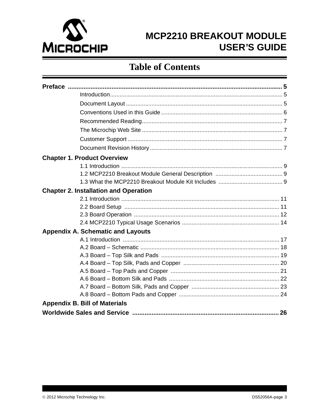

# **Table of Contents**

| <b>Chapter 1. Product Overview</b>           |  |  |  |  |  |
|----------------------------------------------|--|--|--|--|--|
|                                              |  |  |  |  |  |
|                                              |  |  |  |  |  |
|                                              |  |  |  |  |  |
| <b>Chapter 2. Installation and Operation</b> |  |  |  |  |  |
|                                              |  |  |  |  |  |
|                                              |  |  |  |  |  |
|                                              |  |  |  |  |  |
|                                              |  |  |  |  |  |
| <b>Appendix A. Schematic and Layouts</b>     |  |  |  |  |  |
|                                              |  |  |  |  |  |
|                                              |  |  |  |  |  |
|                                              |  |  |  |  |  |
|                                              |  |  |  |  |  |
|                                              |  |  |  |  |  |
|                                              |  |  |  |  |  |
|                                              |  |  |  |  |  |
|                                              |  |  |  |  |  |
| <b>Appendix B. Bill of Materials</b>         |  |  |  |  |  |
|                                              |  |  |  |  |  |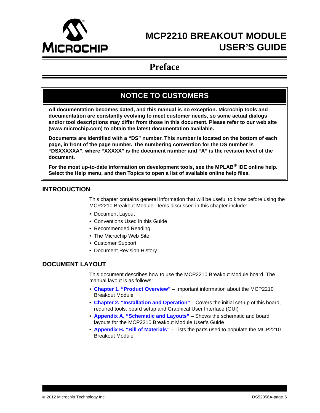<span id="page-4-0"></span>

### **Preface**

### **NOTICE TO CUSTOMERS**

**All documentation becomes dated, and this manual is no exception. Microchip tools and documentation are constantly evolving to meet customer needs, so some actual dialogs and/or tool descriptions may differ from those in this document. Please refer to our web site (www.microchip.com) to obtain the latest documentation available.**

**Documents are identified with a "DS" number. This number is located on the bottom of each page, in front of the page number. The numbering convention for the DS number is "DSXXXXXA", where "XXXXX" is the document number and "A" is the revision level of the document.**

**For the most up-to-date information on development tools, see the MPLAB® IDE online help. Select the Help menu, and then Topics to open a list of available online help files.**

### <span id="page-4-1"></span>**INTRODUCTION**

This chapter contains general information that will be useful to know before using the MCP2210 Breakout Module. Items discussed in this chapter include:

- • [Document Layout](#page-4-2)
- • [Conventions Used in this Guide](#page-5-0)
- • [Recommended Reading](#page-6-0)
- • [The Microchip Web Site](#page-6-1)
- • [Customer Support](#page-6-2)
- • [Document Revision History](#page-6-3)

#### <span id="page-4-2"></span>**DOCUMENT LAYOUT**

This document describes how to use the MCP2210 Breakout Module board. The manual layout is as follows:

- **[Chapter 1. "Product Overview"](#page-8-4)** Important information about the MCP2210 Breakout Module
- **[Chapter 2. "Installation and Operation"](#page-10-3)** Covers the initial set-up of this board, required tools, board setup and Graphical User Interface (GUI)
- **[Appendix A. "Schematic and Layouts"](#page-16-2)** Shows the schematic and board layouts for the MCP2210 Breakout Module User's Guide
- **[Appendix B. "Bill of Materials"](#page-24-1)** Lists the parts used to populate the MCP2210 Breakout Module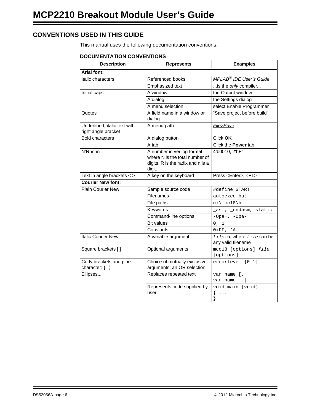### <span id="page-5-0"></span>**CONVENTIONS USED IN THIS GUIDE**

This manual uses the following documentation conventions:

#### **DOCUMENTATION CONVENTIONS**

| <b>Description</b>                                  | <b>Represents</b>                                                                                            | <b>Examples</b>                                    |  |
|-----------------------------------------------------|--------------------------------------------------------------------------------------------------------------|----------------------------------------------------|--|
| <b>Arial font:</b>                                  |                                                                                                              |                                                    |  |
| Italic characters                                   | Referenced books                                                                                             | MPLAB <sup>®</sup> IDE User's Guide                |  |
|                                                     | Emphasized text                                                                                              | is the only compiler                               |  |
| Initial caps                                        | A window                                                                                                     | the Output window                                  |  |
|                                                     | A dialog                                                                                                     | the Settings dialog                                |  |
|                                                     | A menu selection                                                                                             | select Enable Programmer                           |  |
| Quotes                                              | A field name in a window or<br>dialog                                                                        | "Save project before build"                        |  |
| Underlined, italic text with<br>right angle bracket | A menu path                                                                                                  | File>Save                                          |  |
| <b>Bold characters</b>                              | A dialog button                                                                                              | Click OK                                           |  |
|                                                     | A tab                                                                                                        | Click the Power tab                                |  |
| N'Rnnnn                                             | A number in verilog format,<br>where N is the total number of<br>digits, R is the radix and n is a<br>digit. | 4'b0010, 2'hF1                                     |  |
| Text in angle brackets $\lt$ >                      | A key on the keyboard                                                                                        | Press <enter>, <f1></f1></enter>                   |  |
| <b>Courier New font:</b>                            |                                                                                                              |                                                    |  |
| <b>Plain Courier New</b>                            | Sample source code                                                                                           | #define START                                      |  |
|                                                     | <b>Filenames</b>                                                                                             | autoexec.bat                                       |  |
|                                                     | File paths                                                                                                   | $c:\mctan h$                                       |  |
|                                                     | Keywords                                                                                                     | _asm, _endasm, static                              |  |
|                                                     | Command-line options                                                                                         | $-Opa+, -Opa-$                                     |  |
|                                                     | <b>Bit values</b>                                                                                            | 0, 1                                               |  |
|                                                     | Constants                                                                                                    | 0xFF, 'A'                                          |  |
| <b>Italic Courier New</b>                           | A variable argument                                                                                          | file.o, where file can be<br>any valid filename    |  |
| Square brackets []                                  | Optional arguments                                                                                           | mcc18 [options] file<br>[options]                  |  |
| Curly brackets and pipe<br>character: $\{  \}$      | Choice of mutually exclusive<br>arguments; an OR selection                                                   | $errorlevel {0 1}$                                 |  |
| Ellipses                                            | Replaces repeated text                                                                                       | var_name [,<br>var_name]                           |  |
|                                                     | Represents code supplied by<br>user                                                                          | void main (void)<br>$\mathcal{L}$<br>$\ddots$<br>ļ |  |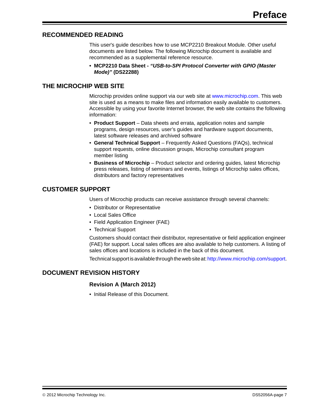#### <span id="page-6-0"></span>**RECOMMENDED READING**

This user's guide describes how to use MCP2210 Breakout Module. Other useful documents are listed below. The following Microchip document is available and recommended as a supplemental reference resource.

**• MCP2210 Data Sheet -** *"USB-to-SPI Protocol Converter with GPIO (Master Mode)"* **(DS22288)**

#### <span id="page-6-1"></span>**THE MICROCHIP WEB SITE**

Microchip provides online support via our web site at www.microchip.com. This web site is used as a means to make files and information easily available to customers. Accessible by using your favorite Internet browser, the web site contains the following information:

- **Product Support** Data sheets and errata, application notes and sample programs, design resources, user's guides and hardware support documents, latest software releases and archived software
- **General Technical Support** Frequently Asked Questions (FAQs), technical support requests, online discussion groups, Microchip consultant program member listing
- **Business of Microchip** Product selector and ordering guides, latest Microchip press releases, listing of seminars and events, listings of Microchip sales offices, distributors and factory representatives

### <span id="page-6-2"></span>**CUSTOMER SUPPORT**

Users of Microchip products can receive assistance through several channels:

- Distributor or Representative
- Local Sales Office
- Field Application Engineer (FAE)
- Technical Support

Customers should contact their distributor, representative or field application engineer (FAE) for support. Local sales offices are also available to help customers. A listing of sales offices and locations is included in the back of this document.

Technical support is available through the web site at:<http://www.microchip.com/support>.

#### <span id="page-6-3"></span>**DOCUMENT REVISION HISTORY**

#### **Revision A (March 2012)**

• Initial Release of this Document.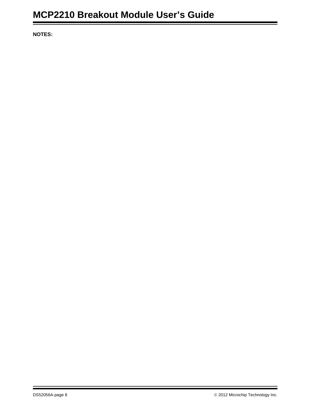**NOTES:**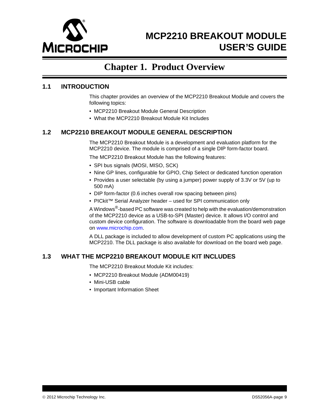

### <span id="page-8-4"></span>**Chapter 1. Product Overview**

#### <span id="page-8-1"></span><span id="page-8-0"></span>**1.1 INTRODUCTION**

This chapter provides an overview of the MCP2210 Breakout Module and covers the following topics:

- • [MCP2210 Breakout Module General Description](#page-8-2)
- • [What the MCP2210 Breakout Module Kit Includes](#page-8-3)

### <span id="page-8-2"></span>**1.2 MCP2210 BREAKOUT MODULE GENERAL DESCRIPTION**

The MCP2210 Breakout Module is a development and evaluation platform for the MCP2210 device. The module is comprised of a single DIP form-factor board.

The MCP2210 Breakout Module has the following features:

- SPI bus signals (MOSI, MISO, SCK)
- Nine GP lines, configurable for GPIO, Chip Select or dedicated function operation
- Provides a user selectable (by using a jumper) power supply of 3.3V or 5V (up to 500 mA)
- DIP form-factor (0.6 inches overall row spacing between pins)
- PICkit™ Serial Analyzer header used for SPI communication only

A Windows®[-based PC software was created to help with the evaluation/demonstration](www.microchip.com)  of the MCP2210 device as a USB-to-SPI (Master) device. It allows I/O control and [custom device configuration. The software is downloadable from the board web page](www.microchip.com)  [on w](www.microchip.com)ww.microchip.com.

A DLL package is included to allow development of custom PC applications using the MCP2210. The DLL package is also available for download on the board web page.

#### <span id="page-8-3"></span>**1.3 WHAT THE MCP2210 BREAKOUT MODULE KIT INCLUDES**

The MCP2210 Breakout Module Kit includes:

- MCP2210 Breakout Module (ADM00419)
- Mini-USB cable
- Important Information Sheet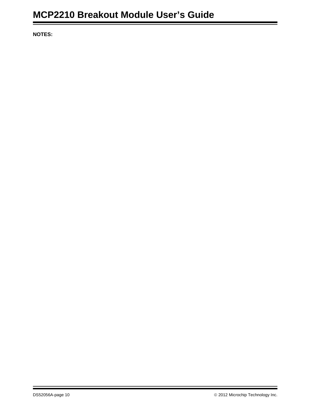**NOTES:**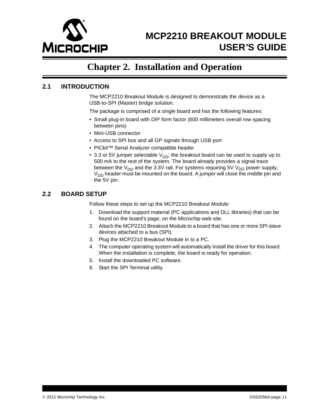

### <span id="page-10-3"></span>**Chapter 2. Installation and Operation**

#### <span id="page-10-1"></span><span id="page-10-0"></span>**2.1 INTRODUCTION**

The MCP2210 Breakout Module is designed to demonstrate the device as a USB-to-SPI (Master) bridge solution.

The package is comprised of a single board and has the following features:

- Small plug-in board with DIP form factor (600 millimeters overall row spacing between pins)
- Mini-USB connector
- Access to SPI bus and all GP signals through USB port
- PICkit™ Serial Analyzer compatible header
- 3.3 or 5V jumper selectable  $V_{DD}$ ; the breakout board can be used to supply up to 500 mA to the rest of the system. The board already provides a signal trace between the  $V_{DD}$  and the 3.3V rail. For systems requiring 5V  $V_{DD}$  power supply, V<sub>DD</sub> header must be mounted on the board. A jumper will close the middle pin and the 5V pin.

#### <span id="page-10-2"></span>**2.2 BOARD SETUP**

Follow these steps to set up the MCP2210 Breakout Module:

- 1. Download the support material (PC applications and DLL libraries) that can be found on the board's page, on the Microchip web site.
- 2. Attach the MCP2210 Breakout Module to a board that has one or more SPI slave devices attached to a bus (SPI).
- 3. Plug the MCP2210 Breakout Module in to a PC.
- 4. The computer operating system will automatically install the driver for this board. When the installation is complete, the board is ready for operation.
- 5. Install the downloaded PC software.
- 6. Start the SPI Terminal utility.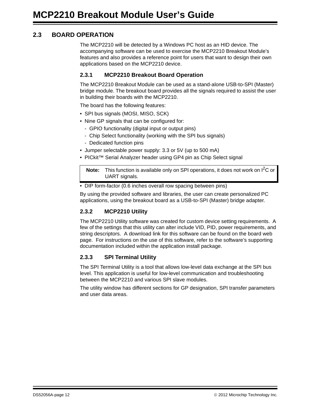### <span id="page-11-0"></span>**2.3 BOARD OPERATION**

The MCP2210 will be detected by a Windows PC host as an HID device. The accompanying software can be used to exercise the MCP2210 Breakout Module's features and also provides a reference point for users that want to design their own applications based on the MCP2210 device.

#### **2.3.1 MCP2210 Breakout Board Operation**

The MCP2210 Breakout Module can be used as a stand-alone USB-to-SPI (Master) bridge module. The breakout board provides all the signals required to assist the user in building their boards with the MCP2210.

The board has the following features:

- SPI bus signals (MOSI, MISO, SCK)
- Nine GP signals that can be configured for:
	- GPIO functionality (digital input or output pins)
	- Chip Select functionality (working with the SPI bus signals)
	- Dedicated function pins
- Jumper selectable power supply: 3.3 or 5V (up to 500 mA)
- PICkit™ Serial Analyzer header using GP4 pin as Chip Select signal

**Note:** This function is available only on SPI operations, it does not work on I<sup>2</sup>C or UART signals.

• DIP form-factor (0.6 inches overall row spacing between pins)

By using the provided software and libraries, the user can create personalized PC applications, using the breakout board as a USB-to-SPI (Master) bridge adapter.

#### **2.3.2 MCP2210 Utility**

The MCP2210 Utility software was created for custom device setting requirements. A few of the settings that this utility can alter include VID, PID, power requirements, and string descriptors. A download link for this software can be found on the board web page. For instructions on the use of this software, refer to the software's supporting documentation included within the application install package.

#### **2.3.3 SPI Terminal Utility**

The SPI Terminal Utility is a tool that allows low-level data exchange at the SPI bus level. This application is useful for low-level communication and troubleshooting between the MCP2210 and various SPI slave modules.

The utility window has different sections for GP designation, SPI transfer parameters and user data areas.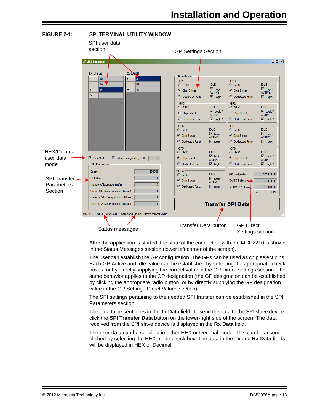

After the application is started, the state of the connection with the MCP2210 is shown in the Status Messages section (lower left corner of the screen).

The user can establish the GP configuration. The GPs can be used as chip select pins. Each GP Active and Idle value can be established by selecting the appropriate check boxes, or by directly supplying the correct value in the GP Direct Settings section. The same behavior applies to the GP designation (the GP designation can be established by clicking the appropriate radio button, or by directly supplying the GP designation value in the GP Settings Direct Values section).

The SPI settings pertaining to the needed SPI transfer can be established in the SPI Parameters section.

The data to be sent goes in the **Tx Data** field. To send the data to the SPI slave device, click the **SPI Transfer Data** button on the lower-right side of the screen. The data received from the SPI slave device is displayed in the **Rx Data** field.

The user data can be supplied in either HEX or Decimal mode. This can be accomplished by selecting the HEX mode check box. The data in the **Tx** and **Rx Data** fields will be displayed in HEX or Decimal.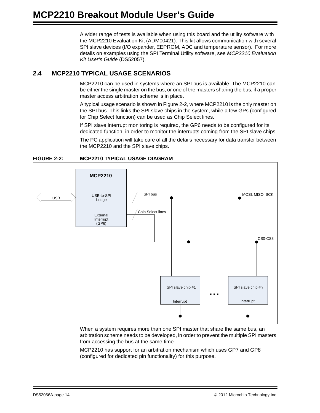A wider range of tests is available when using this board and the utility software with the MCP2210 Evaluation Kit (ADM00421). This kit allows communication with several SPI slave devices (I/O expander, EEPROM, ADC and temperature sensor). For more details on examples using the SPI Terminal Utility software, see *MCP2210 Evaluation Kit User's Guide* (DS52057).

### <span id="page-13-0"></span>**2.4 MCP2210 TYPICAL USAGE SCENARIOS**

MCP2210 can be used in systems where an SPI bus is available. The MCP2210 can be either the single master on the bus, or one of the masters sharing the bus, if a proper master access arbitration scheme is in place.

A typical usage scenario is shown in [Figure 2-2,](#page-13-1) where MCP2210 is the only master on the SPI bus. This links the SPI slave chips in the system, while a few GPs (configured for Chip Select function) can be used as Chip Select lines.

If SPI slave interrupt monitoring is required, the GP6 needs to be configured for its dedicated function, in order to monitor the interrupts coming from the SPI slave chips.

The PC application will take care of all the details necessary for data transfer between the MCP2210 and the SPI slave chips.



<span id="page-13-1"></span>**FIGURE 2-2: MCP2210 TYPICAL USAGE DIAGRAM**

When a system requires more than one SPI master that share the same bus, an arbitration scheme needs to be developed, in order to prevent the multiple SPI masters from accessing the bus at the same time.

MCP2210 has support for an arbitration mechanism which uses GP7 and GP8 (configured for dedicated pin functionality) for this purpose.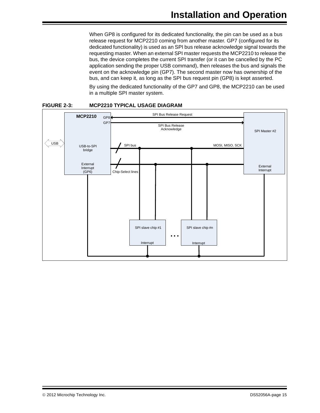When GP8 is configured for its dedicated functionality, the pin can be used as a bus release request for MCP2210 coming from another master. GP7 (configured for its dedicated functionality) is used as an SPI bus release acknowledge signal towards the requesting master. When an external SPI master requests the MCP2210 to release the bus, the device completes the current SPI transfer (or it can be cancelled by the PC application sending the proper USB command), then releases the bus and signals the event on the acknowledge pin (GP7). The second master now has ownership of the bus, and can keep it, as long as the SPI bus request pin (GP8) is kept asserted.

By using the dedicated functionality of the GP7 and GP8, the MCP2210 can be used in a multiple SPI master system.



#### **FIGURE 2-3: MCP2210 TYPICAL USAGE DIAGRAM**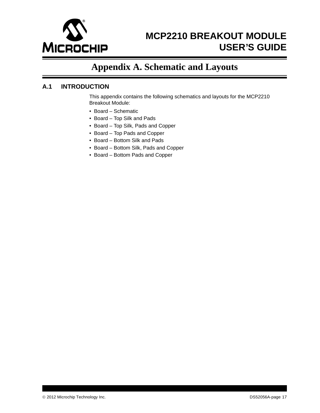

# <span id="page-16-2"></span>**Appendix A. Schematic and Layouts**

### <span id="page-16-1"></span><span id="page-16-0"></span>**A.1 INTRODUCTION**

This appendix contains the following schematics and layouts for the MCP2210 Breakout Module:

- • [Board Schematic](#page-17-0)
- • [Board Top Silk and Pads](#page-18-0)
- • [Board Top Silk, Pads and Copper](#page-19-0)
- • [Board Top Pads and Copper](#page-20-0)
- • [Board Bottom Silk and Pads](#page-21-0)
- • [Board Bottom Silk, Pads and Copper](#page-22-0)
- • [Board Bottom Pads and Copper](#page-23-0)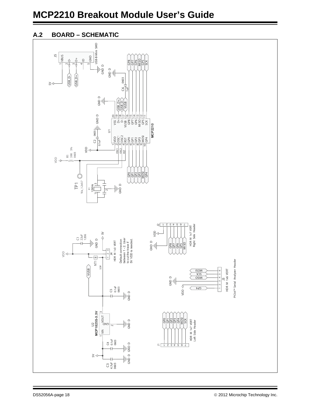# **MCP2210 Breakout Module User's Guide**

### <span id="page-17-0"></span>**A.2 BOARD – SCHEMATIC**

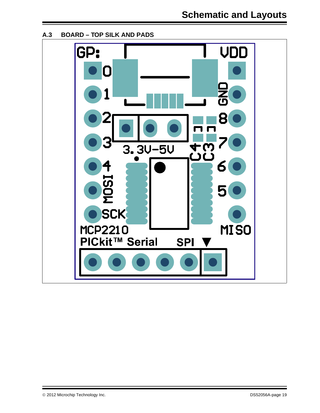<span id="page-18-0"></span>**A.3 BOARD – TOP SILK AND PADS**

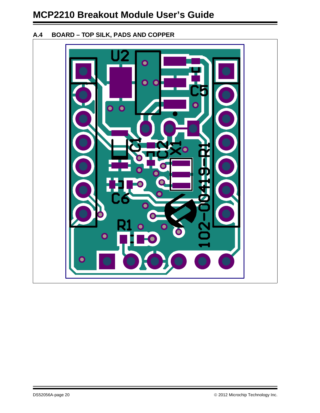### <span id="page-19-0"></span>**A.4 BOARD – TOP SILK, PADS AND COPPER**

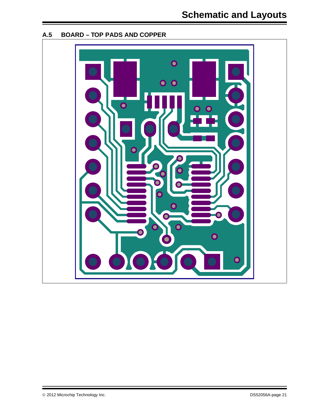

### <span id="page-20-0"></span>**A.5 BOARD – TOP PADS AND COPPER**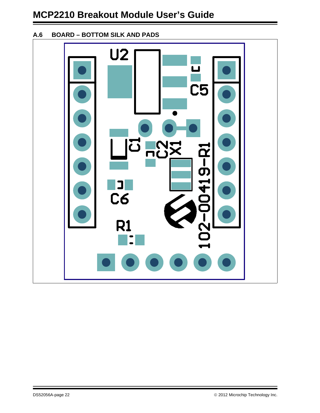### <span id="page-21-0"></span>**A.6 BOARD – BOTTOM SILK AND PADS**

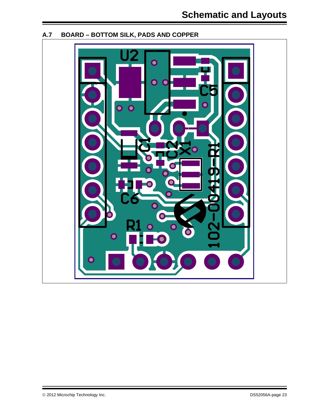<span id="page-22-0"></span>

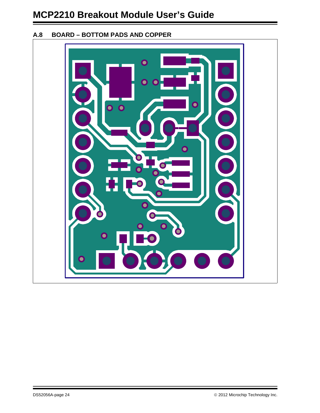### <span id="page-23-0"></span>**A.8 BOARD – BOTTOM PADS AND COPPER**

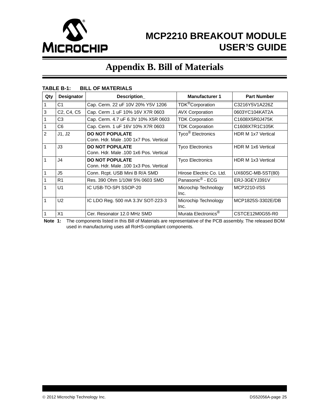

# <span id="page-24-1"></span>**Appendix B. Bill of Materials**

|                | 1666 D <sup>-</sup> I.<br><b>DILL VI MAILWALU</b> |                                                                  |                                 |                           |  |  |  |
|----------------|---------------------------------------------------|------------------------------------------------------------------|---------------------------------|---------------------------|--|--|--|
| Qty            | <b>Designator</b>                                 | Description_                                                     | <b>Manufacturer 1</b>           | <b>Part Number</b>        |  |  |  |
|                | C <sub>1</sub>                                    | Cap. Cerm. 22 uF 10V 20% Y5V 1206                                | TDK <sup>®</sup> Corporation    | C3216Y5V1A226Z            |  |  |  |
| 3              | C <sub>2</sub> , C <sub>4</sub> , C <sub>5</sub>  | Cap. Cerm .1 uF 10% 16V X7R 0603                                 | <b>AVX Corporation</b>          | 0603YC104KAT2A            |  |  |  |
|                | C <sub>3</sub>                                    | Cap. Cerm. 4.7 uF 6.3V 10% X5R 0603                              | <b>TDK Corporation</b>          | C1608X5R0J475K            |  |  |  |
| 1              | C <sub>6</sub>                                    | Cap. Cerm. 1 uF 16V 10% X7R 0603                                 | <b>TDK Corporation</b>          | C1608X7R1C105K            |  |  |  |
| $\overline{2}$ | J1, J2                                            | <b>DO NOT POPULATE</b><br>Conn. Hdr. Male .100 1x7 Pos. Vertical | Tyco <sup>®</sup> Electronics   | <b>HDR M 1x7 Vertical</b> |  |  |  |
| 1              | J3                                                | <b>DO NOT POPULATE</b><br>Conn. Hdr. Male .100 1x6 Pos. Vertical | <b>Tyco Electronics</b>         | HDR M 1x6 Vertical        |  |  |  |
| $\mathbf{1}$   | J <sub>4</sub>                                    | <b>DO NOT POPULATE</b><br>Conn. Hdr. Male .100 1x3 Pos. Vertical | <b>Tyco Electronics</b>         | HDR M 1x3 Vertical        |  |  |  |
| 1              | J5                                                | Conn. Rcpt. USB Mini B R/A SMD                                   | Hirose Electric Co. Ltd.        | UX60SC-MB-5ST(80)         |  |  |  |
|                | R <sub>1</sub>                                    | Res. 390 Ohm 1/10W 5% 0603 SMD                                   | Panasonic <sup>®</sup> - ECG    | ERJ-3GEYJ391V             |  |  |  |
|                | U <sub>1</sub>                                    | IC USB-TO-SPI SSOP-20                                            | Microchip Technology<br>Inc.    | MCP2210-I/SS              |  |  |  |
| 1              | U <sub>2</sub>                                    | IC LDO Reg. 500 mA 3.3V SOT-223-3                                | Microchip Technology<br>Inc.    | MCP1825S-3302E/DB         |  |  |  |
| 1              | X1                                                | Cer. Resonator 12.0 MHz SMD                                      | Murata Electronics <sup>®</sup> | CSTCE12M0G55-R0           |  |  |  |

#### <span id="page-24-0"></span>**TABLE B-1: BILL OF MATERIALS**

**Note 1:** The components listed in this Bill of Materials are representative of the PCB assembly. The released BOM used in manufacturing uses all RoHS-compliant components.